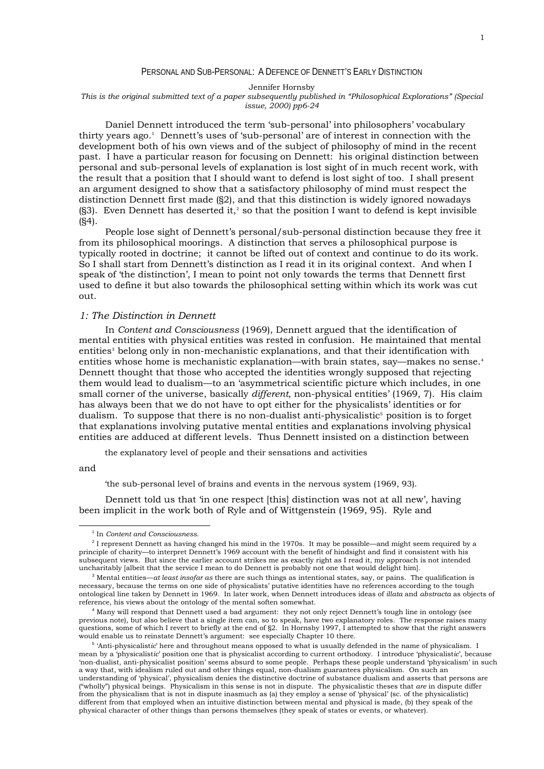Jennifer Hornsby

### *This is the original submitted text of a paper subsequently published in "Philosophical Explorations" (Special issue, 2000) pp6-24*

Daniel Dennett introduced the term 'sub-personal' into philosophers' vocabulary thirty years ago.[1](#page-0-0) Dennett's uses of 'sub-personal' are of interest in connection with the development both of his own views and of the subject of philosophy of mind in the recent past. I have a particular reason for focusing on Dennett: his original distinction between personal and sub-personal levels of explanation is lost sight of in much recent work, with the result that a position that I should want to defend is lost sight of too. I shall present an argument designed to show that a satisfactory philosophy of mind must respect the distinction Dennett first made (§2), and that this distinction is widely ignored nowadays  $(S3)$ . Even Dennett has deserted it,<sup>[2](#page-0-1)</sup> so that the position I want to defend is kept invisible (§4).

People lose sight of Dennett's personal/sub-personal distinction because they free it from its philosophical moorings. A distinction that serves a philosophical purpose is typically rooted in doctrine; it cannot be lifted out of context and continue to do its work. So I shall start from Dennett's distinction as I read it in its original context. And when I speak of 'the distinction', I mean to point not only towards the terms that Dennett first used to define it but also towards the philosophical setting within which its work was cut out.

# *1: The Distinction in Dennett*

In *Content and Consciousness* (1969), Dennett argued that the identification of mental entities with physical entities was rested in confusion. He maintained that mental entities<sup>[3](#page-0-2)</sup> belong only in non-mechanistic explanations, and that their identification with entities whose home is mechanistic explanation—with brain states, say—makes no sense.<sup>[4](#page-0-3)</sup> Dennett thought that those who accepted the identities wrongly supposed that rejecting them would lead to dualism—to an 'asymmetrical scientific picture which includes, in one small corner of the universe, basically *different*, non-physical entities' (1969, 7). His claim has always been that we do not have to opt either for the physicalists' identities or for dualism. To suppose that there is no non-dualist anti-physicalistic<sup>[5](#page-0-4)</sup> position is to forget that explanations involving putative mental entities and explanations involving physical entities are adduced at different levels. Thus Dennett insisted on a distinction between

the explanatory level of people and their sensations and activities

and

-

'the sub-personal level of brains and events in the nervous system (1969, 93).

Dennett told us that 'in one respect [this] distinction was not at all new', having been implicit in the work both of Ryle and of Wittgenstein (1969, 95). Ryle and

<sup>1</sup> In *Content and Consciousness*.

<span id="page-0-1"></span><span id="page-0-0"></span> $2<sup>2</sup>$  I represent Dennett as having changed his mind in the 1970s. It may be possible—and might seem required by a principle of charity—to interpret Dennett's 1969 account with the benefit of hindsight and find it consistent with his subsequent views. But since the earlier account strikes me as exactly right as I read it, my approach is not intended uncharitably [albeit that the service I mean to do Dennett is probably not one that would delight him].

<span id="page-0-2"></span><sup>3</sup> Mental entities—*at least insofar as* there are such things as intentional states, say, or pains. The qualification is necessary, because the terms on one side of physicalists' putative identities have no references according to the tough ontological line taken by Dennett in 1969. In later work, when Dennett introduces ideas of *illata* and *abstracta* as objects of reference, his views about the ontology of the mental soften somewhat.

<span id="page-0-3"></span><sup>4</sup> Many will respond that Dennett used a bad argument: they not only reject Dennett's tough line in ontology (see previous note), but also believe that a single item can, so to speak, have two explanatory roles. The response raises many questions, some of which I revert to briefly at the end of §2. In Hornsby 1997, I attempted to show that the right answers would enable us to reinstate Dennett's argument: see especially Chapter 10 there.

<span id="page-0-4"></span><sup>&</sup>lt;sup>5</sup> 'Anti-physicalistic' here and throughout means opposed to what is usually defended in the name of physicalism. I mean by a 'physicalist*ic*' position one that is physicalist according to current orthodoxy. I introduce 'physicalist*ic*', because 'non-dualist, anti-physicalist position' seems absurd to some people. Perhaps these people understand 'physicalism' in such a way that, with idealism ruled out and other things equal, non-dualism guarantees physicalism. On such an understanding of 'physical', physicalism denies the distinctive doctrine of substance dualism and asserts that persons are ("wholly") physical beings. Physicalism in this sense is not in dispute. The physicalistic theses that *are* in dispute differ from the physicalism that is not in dispute inasmuch as (a) they employ a sense of 'physical' (sc. of the physicalistic) different from that employed when an intuitive distinction between mental and physical is made, (b) they speak of the physical character of other things than persons themselves (they speak of states or events, or whatever).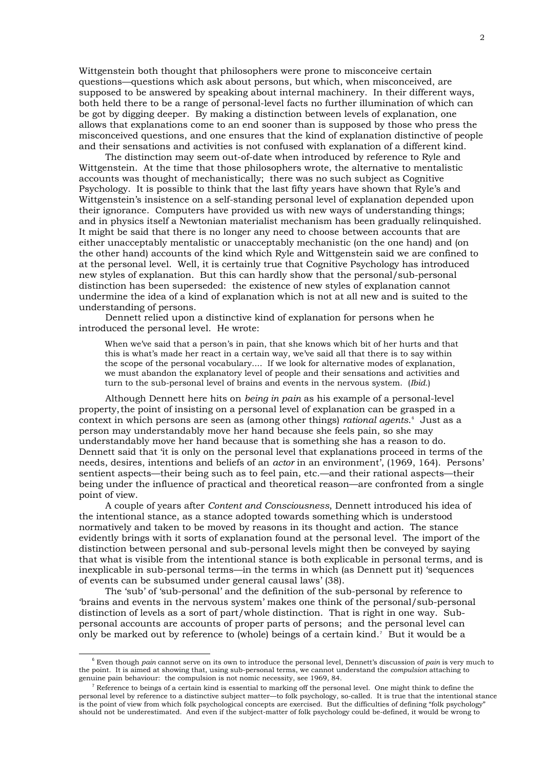Wittgenstein both thought that philosophers were prone to misconceive certain questions—questions which ask about persons, but which, when misconceived, are supposed to be answered by speaking about internal machinery. In their different ways, both held there to be a range of personal-level facts no further illumination of which can be got by digging deeper. By making a distinction between levels of explanation, one allows that explanations come to an end sooner than is supposed by those who press the misconceived questions, and one ensures that the kind of explanation distinctive of people and their sensations and activities is not confused with explanation of a different kind.

The distinction may seem out-of-date when introduced by reference to Ryle and Wittgenstein. At the time that those philosophers wrote, the alternative to mentalistic accounts was thought of mechanistically; there was no such subject as Cognitive Psychology. It is possible to think that the last fifty years have shown that Ryle's and Wittgenstein's insistence on a self-standing personal level of explanation depended upon their ignorance. Computers have provided us with new ways of understanding things; and in physics itself a Newtonian materialist mechanism has been gradually relinquished. It might be said that there is no longer any need to choose between accounts that are either unacceptably mentalistic or unacceptably mechanistic (on the one hand) and (on the other hand) accounts of the kind which Ryle and Wittgenstein said we are confined to at the personal level. Well, it is certainly true that Cognitive Psychology has introduced new styles of explanation. But this can hardly show that the personal/sub-personal distinction has been superseded: the existence of new styles of explanation cannot undermine the idea of a kind of explanation which is not at all new and is suited to the understanding of persons.

Dennett relied upon a distinctive kind of explanation for persons when he introduced the personal level. He wrote:

When we've said that a person's in pain, that she knows which bit of her hurts and that this is what's made her react in a certain way, we've said all that there is to say within the scope of the personal vocabulary.... If we look for alternative modes of explanation, we must abandon the explanatory level of people and their sensations and activities and turn to the sub-personal level of brains and events in the nervous system. (*Ibid.*)

Although Dennett here hits on *being in pain* as his example of a personal-level property,the point of insisting on a personal level of explanation can be grasped in a context in which persons are seen as (among other things) *rational agents*.<sup>[6](#page-1-0)</sup> Just as a person may understandably move her hand because she feels pain, so she may understandably move her hand because that is something she has a reason to do. Dennett said that 'it is only on the personal level that explanations proceed in terms of the needs, desires, intentions and beliefs of an *actor* in an environment', (1969, 164). Persons' sentient aspects—their being such as to feel pain, etc.—and their rational aspects—their being under the influence of practical and theoretical reason—are confronted from a single point of view.

A couple of years after *Content and Consciousness*, Dennett introduced his idea of the intentional stance, as a stance adopted towards something which is understood normatively and taken to be moved by reasons in its thought and action. The stance evidently brings with it sorts of explanation found at the personal level. The import of the distinction between personal and sub-personal levels might then be conveyed by saying that what is visible from the intentional stance is both explicable in personal terms, and is inexplicable in sub-personal terms—in the terms in which (as Dennett put it) 'sequences of events can be subsumed under general causal laws' (38).

The 'sub' of 'sub-personal' and the definition of the sub-personal by reference to 'brains and events in the nervous system' makes one think of the personal/sub-personal distinction of levels as a sort of part/whole distinction. That is right in one way. Subpersonal accounts are accounts of proper parts of persons; and the personal level can only be marked out by reference to (whole) beings of a certain kind.<sup>[7](#page-1-1)</sup> But it would be a

<span id="page-1-0"></span><sup>6</sup> Even though *pain* cannot serve on its own to introduce the personal level, Dennett's discussion of *pain* is very much to the point. It is aimed at showing that, using sub-personal terms, we cannot understand the *compulsion* attaching to genuine pain behaviour: the compulsion is not nomic necessity, see 1969, 84.

<span id="page-1-1"></span> $^7$  Reference to beings of a certain kind is essential to marking off the personal level. One might think to define the personal level by reference to a distinctive subject matter—to folk psychology, so-called. It is true that the intentional stance is the point of view from which folk psychological concepts are exercised. But the difficulties of defining "folk psychology" should not be underestimated. And even if the subject-matter of folk psychology could be-defined, it would be wrong to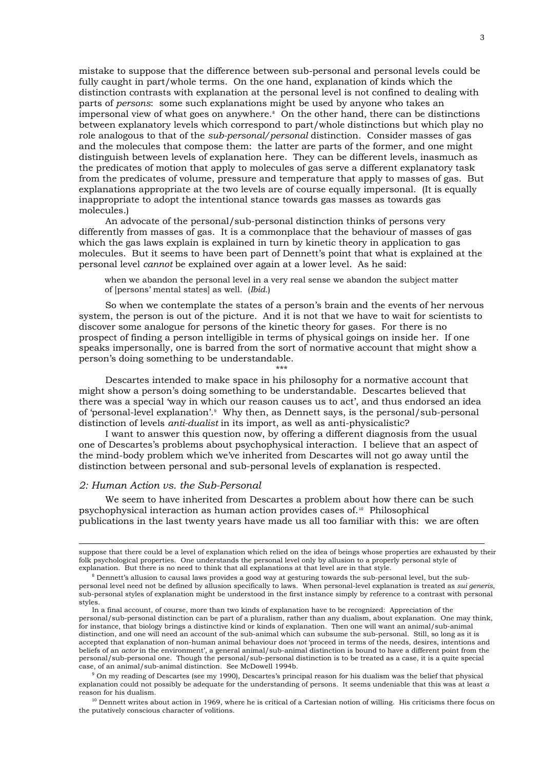mistake to suppose that the difference between sub-personal and personal levels could be fully caught in part/whole terms. On the one hand, explanation of kinds which the distinction contrasts with explanation at the personal level is not confined to dealing with parts of *persons*: some such explanations might be used by anyone who takes an impersonal view of what goes on anywhere.<sup>[8](#page-2-0)</sup> On the other hand, there can be distinctions between explanatory levels which correspond to part/whole distinctions but which play no role analogous to that of the *sub-personal/personal* distinction. Consider masses of gas and the molecules that compose them: the latter are parts of the former, and one might distinguish between levels of explanation here. They can be different levels, inasmuch as the predicates of motion that apply to molecules of gas serve a different explanatory task from the predicates of volume, pressure and temperature that apply to masses of gas. But explanations appropriate at the two levels are of course equally impersonal. (It is equally inappropriate to adopt the intentional stance towards gas masses as towards gas molecules.)

An advocate of the personal/sub-personal distinction thinks of persons very differently from masses of gas. It is a commonplace that the behaviour of masses of gas which the gas laws explain is explained in turn by kinetic theory in application to gas molecules. But it seems to have been part of Dennett's point that what is explained at the personal level *cannot* be explained over again at a lower level. As he said:

when we abandon the personal level in a very real sense we abandon the subject matter of [persons' mental states] as well. (*Ibid.*)

So when we contemplate the states of a person's brain and the events of her nervous system, the person is out of the picture. And it is not that we have to wait for scientists to discover some analogue for persons of the kinetic theory for gases. For there is no prospect of finding a person intelligible in terms of physical goings on inside her. If one speaks impersonally, one is barred from the sort of normative account that might show a person's doing something to be understandable.

\*\*\*

Descartes intended to make space in his philosophy for a normative account that might show a person's doing something to be understandable. Descartes believed that there was a special 'way in which our reason causes us to act', and thus endorsed an idea of 'personal-level explanation'.[9](#page-2-1) Why then, as Dennett says, is the personal/sub-personal distinction of levels *anti-dualist* in its import, as well as anti-physicalistic?

I want to answer this question now, by offering a different diagnosis from the usual one of Descartes's problems about psychophysical interaction. I believe that an aspect of the mind-body problem which we've inherited from Descartes will not go away until the distinction between personal and sub-personal levels of explanation is respected.

## *2: Human Action vs. the Sub-Personal*

l

We seem to have inherited from Descartes a problem about how there can be such psychophysical interaction as human action provides cases of.[10](#page-2-2) Philosophical publications in the last twenty years have made us all too familiar with this: we are often

suppose that there could be a level of explanation which relied on the idea of beings whose properties are exhausted by their folk psychological properties. One understands the personal level only by allusion to a properly personal style of explanation. But there is no need to think that all explanations at that level are in that style.

<span id="page-2-0"></span><sup>&</sup>lt;sup>8</sup> Dennett's allusion to causal laws provides a good way at gesturing towards the sub-personal level, but the subpersonal level need not be defined by allusion specifically to laws. When personal-level explanation is treated as *sui generis*, sub-personal styles of explanation might be understood in the first instance simply by reference to a contrast with personal styles.

In a final account, of course, more than two kinds of explanation have to be recognized: Appreciation of the personal/sub-personal distinction can be part of a pluralism, rather than any dualism, about explanation. One may think, for instance, that biology brings a distinctive kind or kinds of explanation. Then one will want an animal/sub-animal distinction, and one will need an account of the sub-animal which can subsume the sub-personal. Still, so long as it is accepted that explanation of non-human animal behaviour does *not* 'proceed in terms of the needs, desires, intentions and beliefs of an *actor* in the environment', a general animal/sub-animal distinction is bound to have a different point from the personal/sub-personal one. Though the personal/sub-personal distinction is to be treated as a case, it is a quite special case, of an animal/sub-animal distinction. See McDowell 1994b.

<span id="page-2-1"></span><sup>&</sup>lt;sup>9</sup> On my reading of Descartes (see my 1990), Descartes's principal reason for his dualism was the belief that physical explanation could not possibly be adequate for the understanding of persons. It seems undeniable that this was at least *a*  reason for his dualism.

<span id="page-2-2"></span><sup>&</sup>lt;sup>10</sup> Dennett writes about action in 1969, where he is critical of a Cartesian notion of willing. His criticisms there focus on the putatively conscious character of volitions.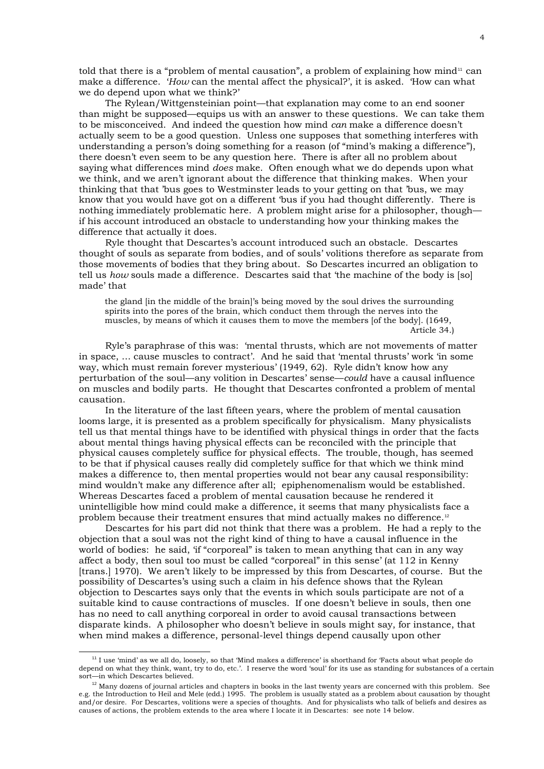told that there is a "problem of mental causation", a problem of explaining how mind<sup>[11](#page-3-0)</sup> can make a difference. '*How* can the mental affect the physical?', it is asked. 'How can what we do depend upon what we think?'

The Rylean/Wittgensteinian point—that explanation may come to an end sooner than might be supposed—equips us with an answer to these questions. We can take them to be misconceived. And indeed the question how mind *can* make a difference doesn't actually seem to be a good question. Unless one supposes that something interferes with understanding a person's doing something for a reason (of "mind's making a difference"), there doesn't even seem to be any question here. There is after all no problem about saying what differences mind *does* make. Often enough what we do depends upon what we think, and we aren't ignorant about the difference that thinking makes. When your thinking that that 'bus goes to Westminster leads to your getting on that 'bus, we may know that you would have got on a different 'bus if you had thought differently. There is nothing immediately problematic here. A problem might arise for a philosopher, though if his account introduced an obstacle to understanding how your thinking makes the difference that actually it does.

Ryle thought that Descartes's account introduced such an obstacle. Descartes thought of souls as separate from bodies, and of souls' volitions therefore as separate from those movements of bodies that they bring about. So Descartes incurred an obligation to tell us *how* souls made a difference. Descartes said that 'the machine of the body is [so] made' that

the gland [in the middle of the brain]'s being moved by the soul drives the surrounding spirits into the pores of the brain, which conduct them through the nerves into the muscles, by means of which it causes them to move the members [of the body]. (1649, Article 34.)

Ryle's paraphrase of this was: 'mental thrusts, which are not movements of matter in space, … cause muscles to contract'. And he said that 'mental thrusts' work 'in some way, which must remain forever mysterious' (1949, 62). Ryle didn't know how any perturbation of the soul—any volition in Descartes' sense—*could* have a causal influence on muscles and bodily parts. He thought that Descartes confronted a problem of mental causation.

In the literature of the last fifteen years, where the problem of mental causation looms large, it is presented as a problem specifically for physicalism. Many physicalists tell us that mental things have to be identified with physical things in order that the facts about mental things having physical effects can be reconciled with the principle that physical causes completely suffice for physical effects. The trouble, though, has seemed to be that if physical causes really did completely suffice for that which we think mind makes a difference to, then mental properties would not bear any causal responsibility: mind wouldn't make any difference after all; epiphenomenalism would be established. Whereas Descartes faced a problem of mental causation because he rendered it unintelligible how mind could make a difference, it seems that many physicalists face a problem because their treatment ensures that mind actually makes no difference.<sup>[12](#page-3-1)</sup>

Descartes for his part did not think that there was a problem. He had a reply to the objection that a soul was not the right kind of thing to have a causal influence in the world of bodies: he said, 'if "corporeal" is taken to mean anything that can in any way affect a body, then soul too must be called "corporeal" in this sense' (at 112 in Kenny [trans.] 1970). We aren't likely to be impressed by this from Descartes, of course. But the possibility of Descartes's using such a claim in his defence shows that the Rylean objection to Descartes says only that the events in which souls participate are not of a suitable kind to cause contractions of muscles. If one doesn't believe in souls, then one has no need to call anything corporeal in order to avoid causal transactions between disparate kinds. A philosopher who doesn't believe in souls might say, for instance, that when mind makes a difference, personal-level things depend causally upon other

<span id="page-3-0"></span><sup>11</sup> I use 'mind' as we all do, loosely, so that 'Mind makes a difference' is shorthand for 'Facts about what people do depend on what they think, want, try to do, etc.'. I reserve the word 'soul' for its use as standing for substances of a certain sort—in which Descartes believed.

<span id="page-3-1"></span> $12$  Many dozens of journal articles and chapters in books in the last twenty years are concerned with this problem. See e.g. the Introduction to Heil and Mele (edd.) 1995. The problem is usually stated as a problem about causation by thought and/or desire. For Descartes, volitions were a species of thoughts. And for physicalists who talk of beliefs and desires as causes of actions, the problem extends to the area where I locate it in Descartes: see note 14 below.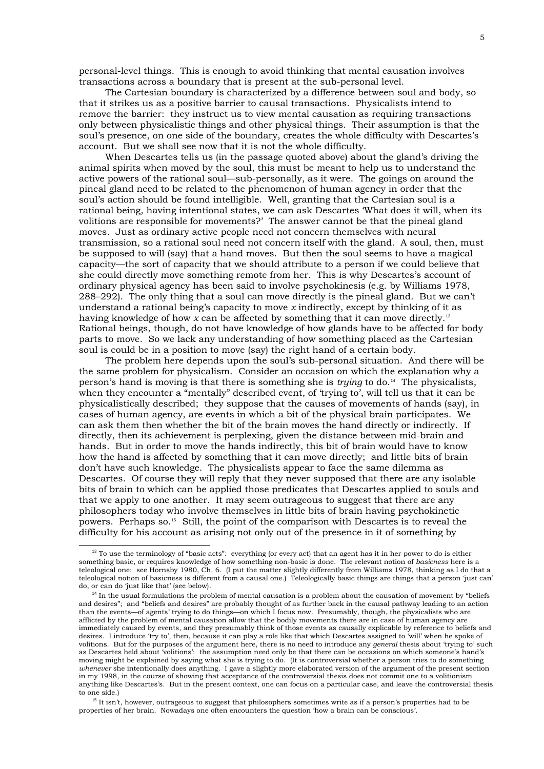personal-level things. This is enough to avoid thinking that mental causation involves transactions across a boundary that is present at the sub-personal level.

The Cartesian boundary is characterized by a difference between soul and body, so that it strikes us as a positive barrier to causal transactions. Physicalists intend to remove the barrier: they instruct us to view mental causation as requiring transactions only between physicalistic things and other physical things. Their assumption is that the soul's presence, on one side of the boundary, creates the whole difficulty with Descartes's account. But we shall see now that it is not the whole difficulty.

When Descartes tells us (in the passage quoted above) about the gland's driving the animal spirits when moved by the soul, this must be meant to help us to understand the active powers of the rational soul—sub-personally, as it were. The goings on around the pineal gland need to be related to the phenomenon of human agency in order that the soul's action should be found intelligible. Well, granting that the Cartesian soul is a rational being, having intentional states, we can ask Descartes 'What does it will, when its volitions are responsible for movements?' The answer cannot be that the pineal gland moves. Just as ordinary active people need not concern themselves with neural transmission, so a rational soul need not concern itself with the gland. A soul, then, must be supposed to will (say) that a hand moves. But then the soul seems to have a magical capacity—the sort of capacity that we should attribute to a person if we could believe that she could directly move something remote from her. This is why Descartes's account of ordinary physical agency has been said to involve psychokinesis (e.g. by Williams 1978, 288–292). The only thing that a soul can move directly is the pineal gland. But we can't understand a rational being's capacity to move *x* indirectly, except by thinking of it as having knowledge of how x can be affected by something that it can move directly.<sup>[13](#page-4-0)</sup> Rational beings, though, do not have knowledge of how glands have to be affected for body parts to move. So we lack any understanding of how something placed as the Cartesian soul is could be in a position to move (say) the right hand of a certain body.

The problem here depends upon the soul's sub-personal situation. And there will be the same problem for physicalism. Consider an occasion on which the explanation why a person's hand is moving is that there is something she is *trying* to do.[14](#page-4-1) The physicalists, when they encounter a "mentally" described event, of 'trying to', will tell us that it can be physicalistically described; they suppose that the causes of movements of hands (say), in cases of human agency, are events in which a bit of the physical brain participates. We can ask them then whether the bit of the brain moves the hand directly or indirectly. If directly, then its achievement is perplexing, given the distance between mid-brain and hands. But in order to move the hands indirectly, this bit of brain would have to know how the hand is affected by something that it can move directly; and little bits of brain don't have such knowledge. The physicalists appear to face the same dilemma as Descartes. Of course they will reply that they never supposed that there are any isolable bits of brain to which can be applied those predicates that Descartes applied to souls and that we apply to one another. It may seem outrageous to suggest that there are any philosophers today who involve themselves in little bits of brain having psychokinetic powers. Perhaps so.[15](#page-4-2) Still, the point of the comparison with Descartes is to reveal the difficulty for his account as arising not only out of the presence in it of something by

 $\overline{a}$ 

<span id="page-4-2"></span><sup>15</sup> It isn't, however, outrageous to suggest that philosophers sometimes write as if a person's properties had to be properties of her brain. Nowadays one often encounters the question 'how a brain can be conscious'.

<span id="page-4-0"></span> $13$  To use the terminology of "basic acts": everything (or every act) that an agent has it in her power to do is either something basic, or requires knowledge of how something non-basic is done. The relevant notion of *basicness* here is a teleological one: see Hornsby 1980, Ch. 6. (I put the matter slightly differently from Williams 1978, thinking as I do that a teleological notion of basicness is different from a causal one.) Teleologically basic things are things that a person 'just can' do, or can do 'just like that' (see below).

<span id="page-4-1"></span><sup>&</sup>lt;sup>14</sup> In the usual formulations the problem of mental causation is a problem about the causation of movement by "beliefs and desires"; and "beliefs and desires" are probably thought of as further back in the causal pathway leading to an action than the events—of agents' trying to do things—on which I focus now. Presumably, though, the physicalists who are afflicted by the problem of mental causation allow that the bodily movements there are in case of human agency are immediately caused by events, and they presumably think of those events as causally explicable by reference to beliefs and desires. I introduce 'try to', then, because it can play a role like that which Descartes assigned to 'will' when he spoke of volitions. But for the purposes of the argument here, there is no need to introduce any *general* thesis about 'trying to' such as Descartes held about 'volitions': the assumption need only be that there can be occasions on which someone's hand's moving might be explained by saying what she is trying to do. (It is controversial whether a person tries to do something *whenever* she intentionally does anything. I gave a slightly more elaborated version of the argument of the present section in my 1998, in the course of showing that acceptance of the controversial thesis does not commit one to a volitionism anything like Descartes's. But in the present context, one can focus on a particular case, and leave the controversial thesis to one side.)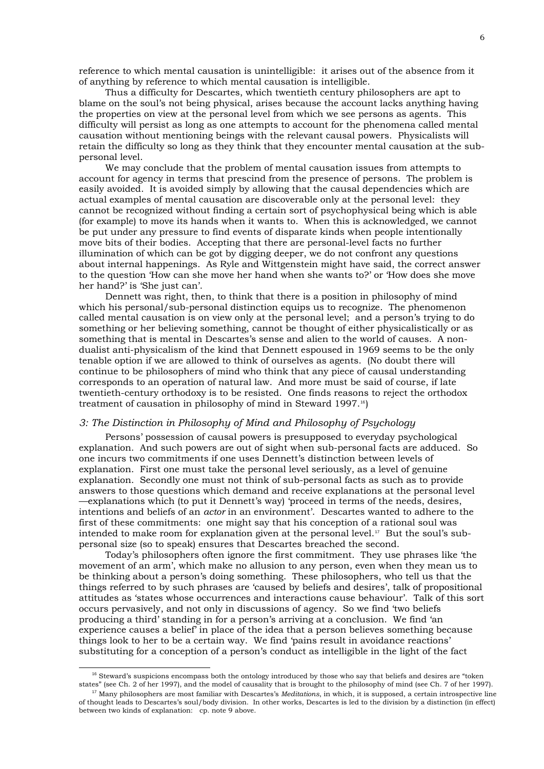reference to which mental causation is unintelligible: it arises out of the absence from it of anything by reference to which mental causation is intelligible.

Thus a difficulty for Descartes, which twentieth century philosophers are apt to blame on the soul's not being physical, arises because the account lacks anything having the properties on view at the personal level from which we see persons as agents. This difficulty will persist as long as one attempts to account for the phenomena called mental causation without mentioning beings with the relevant causal powers. Physicalists will retain the difficulty so long as they think that they encounter mental causation at the subpersonal level.

We may conclude that the problem of mental causation issues from attempts to account for agency in terms that prescind from the presence of persons. The problem is easily avoided. It is avoided simply by allowing that the causal dependencies which are actual examples of mental causation are discoverable only at the personal level: they cannot be recognized without finding a certain sort of psychophysical being which is able (for example) to move its hands when it wants to. When this is acknowledged, we cannot be put under any pressure to find events of disparate kinds when people intentionally move bits of their bodies. Accepting that there are personal-level facts no further illumination of which can be got by digging deeper, we do not confront any questions about internal happenings. As Ryle and Wittgenstein might have said, the correct answer to the question 'How can she move her hand when she wants to?' or 'How does she move her hand?' is 'She just can'.

Dennett was right, then, to think that there is a position in philosophy of mind which his personal/sub-personal distinction equips us to recognize. The phenomenon called mental causation is on view only at the personal level; and a person's trying to do something or her believing something, cannot be thought of either physicalistically or as something that is mental in Descartes's sense and alien to the world of causes. A nondualist anti-physicalism of the kind that Dennett espoused in 1969 seems to be the only tenable option if we are allowed to think of ourselves as agents. (No doubt there will continue to be philosophers of mind who think that any piece of causal understanding corresponds to an operation of natural law. And more must be said of course, if late twentieth-century orthodoxy is to be resisted. One finds reasons to reject the orthodox treatment of causation in philosophy of mind in Steward 1997.<sup>[16](#page-5-0)</sup>)

## *3: The Distinction in Philosophy of Mind and Philosophy of Psychology*

Persons' possession of causal powers is presupposed to everyday psychological explanation. And such powers are out of sight when sub-personal facts are adduced. So one incurs two commitments if one uses Dennett's distinction between levels of explanation. First one must take the personal level seriously, as a level of genuine explanation. Secondly one must not think of sub-personal facts as such as to provide answers to those questions which demand and receive explanations at the personal level —explanations which (to put it Dennett's way) 'proceed in terms of the needs, desires, intentions and beliefs of an *actor* in an environment'. Descartes wanted to adhere to the first of these commitments: one might say that his conception of a rational soul was intended to make room for explanation given at the personal level.<sup>[17](#page-5-1)</sup> But the soul's subpersonal size (so to speak) ensures that Descartes breached the second.

Today's philosophers often ignore the first commitment. They use phrases like 'the movement of an arm', which make no allusion to any person, even when they mean us to be thinking about a person's doing something. These philosophers, who tell us that the things referred to by such phrases are 'caused by beliefs and desires', talk of propositional attitudes as 'states whose occurrences and interactions cause behaviour'. Talk of this sort occurs pervasively, and not only in discussions of agency. So we find 'two beliefs producing a third' standing in for a person's arriving at a conclusion. We find 'an experience causes a belief' in place of the idea that a person believes something because things look to her to be a certain way. We find 'pains result in avoidance reactions' substituting for a conception of a person's conduct as intelligible in the light of the fact

<span id="page-5-0"></span> $16$  Steward's suspicions encompass both the ontology introduced by those who say that beliefs and desires are "token" states" (see Ch. 2 of her 1997), and the model of causality that is brought to the philosophy of mind (see Ch. 7 of her 1997).

<span id="page-5-1"></span><sup>17</sup> Many philosophers are most familiar with Descartes's *Meditations*, in which, it is supposed, a certain introspective line of thought leads to Descartes's soul/body division. In other works, Descartes is led to the division by a distinction (in effect) between two kinds of explanation: cp. note 9 above.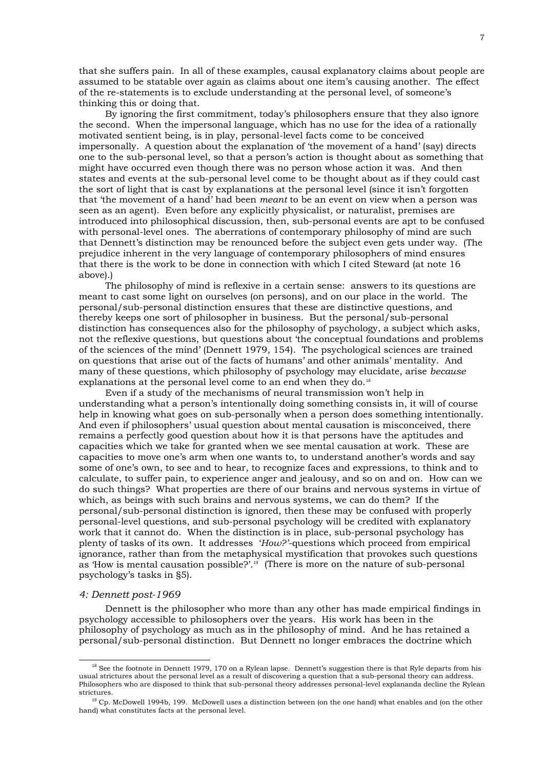that she suffers pain. In all of these examples, causal explanatory claims about people are assumed to be statable over again as claims about one item's causing another. The effect of the re-statements is to exclude understanding at the personal level, of someone's thinking this or doing that.

By ignoring the first commitment, today's philosophers ensure that they also ignore the second. When the impersonal language, which has no use for the idea of a rationally motivated sentient being, is in play, personal-level facts come to be conceived impersonally. A question about the explanation of 'the movement of a hand' (say) directs one to the sub-personal level, so that a person's action is thought about as something that might have occurred even though there was no person whose action it was. And then states and events at the sub-personal level come to be thought about as if they could cast the sort of light that is cast by explanations at the personal level (since it isn't forgotten that 'the movement of a hand' had been *meant* to be an event on view when a person was seen as an agent). Even before any explicitly physicalist, or naturalist, premises are introduced into philosophical discussion, then, sub-personal events are apt to be confused with personal-level ones. The aberrations of contemporary philosophy of mind are such that Dennett's distinction may be renounced before the subject even gets under way. (The prejudice inherent in the very language of contemporary philosophers of mind ensures that there is the work to be done in connection with which I cited Steward (at note 16 above).)

The philosophy of mind is reflexive in a certain sense: answers to its questions are meant to cast some light on ourselves (on persons), and on our place in the world. The personal/sub-personal distinction ensures that these are distinctive questions, and thereby keeps one sort of philosopher in business. But the personal/sub-personal distinction has consequences also for the philosophy of psychology, a subject which asks, not the reflexive questions, but questions about 'the conceptual foundations and problems of the sciences of the mind' (Dennett 1979, 154). The psychological sciences are trained on questions that arise out of the facts of humans' and other animals' mentality. And many of these questions, which philosophy of psychology may elucidate, arise *because* explanations at the personal level come to an end when they do.<sup>[18](#page-6-0)</sup>

Even if a study of the mechanisms of neural transmission won't help in understanding what a person's intentionally doing something consists in, it will of course help in knowing what goes on sub-personally when a person does something intentionally. And even if philosophers' usual question about mental causation is misconceived, there remains a perfectly good question about how it is that persons have the aptitudes and capacities which we take for granted when we see mental causation at work. These are capacities to move one's arm when one wants to, to understand another's words and say some of one's own, to see and to hear, to recognize faces and expressions, to think and to calculate, to suffer pain, to experience anger and jealousy, and so on and on. How can we do such things? What properties are there of our brains and nervous systems in virtue of which, as beings with such brains and nervous systems, we can do them? If the personal/sub-personal distinction is ignored, then these may be confused with properly personal-level questions, and sub-personal psychology will be credited with explanatory work that it cannot do. When the distinction is in place, sub-personal psychology has plenty of tasks of its own. It addresses '*How?'*-questions which proceed from empirical ignorance, rather than from the metaphysical mystification that provokes such questions as 'How is mental causation possible?'.<sup>[19](#page-6-1)</sup> (There is more on the nature of sub-personal psychology's tasks in §5).

### *4: Dennett post-1969*

 $\overline{a}$ 

Dennett is the philosopher who more than any other has made empirical findings in psychology accessible to philosophers over the years. His work has been in the philosophy of psychology as much as in the philosophy of mind. And he has retained a personal/sub-personal distinction. But Dennett no longer embraces the doctrine which

<span id="page-6-0"></span><sup>&</sup>lt;sup>18</sup> See the footnote in Dennett 1979, 170 on a Rylean lapse. Dennett's suggestion there is that Ryle departs from his usual strictures about the personal level as a result of discovering a question that a sub-personal theory can address. Philosophers who are disposed to think that sub-personal theory addresses personal-level explananda decline the Rylean strictures.

<span id="page-6-1"></span><sup>19</sup> Cp. McDowell 1994b, 199. McDowell uses a distinction between (on the one hand) what enables and (on the other hand) what constitutes facts at the personal level.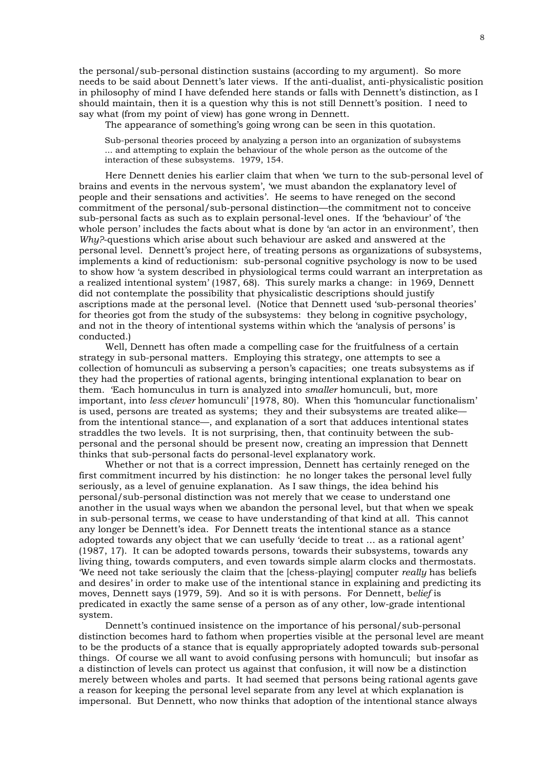the personal/sub-personal distinction sustains (according to my argument). So more needs to be said about Dennett's later views. If the anti-dualist, anti-physicalistic position in philosophy of mind I have defended here stands or falls with Dennett's distinction, as I should maintain, then it is a question why this is not still Dennett's position. I need to say what (from my point of view) has gone wrong in Dennett.

The appearance of something's going wrong can be seen in this quotation.

Sub-personal theories proceed by analyzing a person into an organization of subsystems ... and attempting to explain the behaviour of the whole person as the outcome of the interaction of these subsystems. 1979, 154.

Here Dennett denies his earlier claim that when 'we turn to the sub-personal level of brains and events in the nervous system', 'we must abandon the explanatory level of people and their sensations and activities'. He seems to have reneged on the second commitment of the personal/sub-personal distinction—the commitment not to conceive sub-personal facts as such as to explain personal-level ones. If the 'behaviour' of 'the whole person' includes the facts about what is done by 'an actor in an environment', then *Why?*-questions which arise about such behaviour are asked and answered at the personal level. Dennett's project here, of treating persons as organizations of subsystems, implements a kind of reductionism: sub-personal cognitive psychology is now to be used to show how 'a system described in physiological terms could warrant an interpretation as a realized intentional system' (1987, 68). This surely marks a change: in 1969, Dennett did not contemplate the possibility that physicalistic descriptions should justify ascriptions made at the personal level. (Notice that Dennett used 'sub-personal theories' for theories got from the study of the subsystems: they belong in cognitive psychology, and not in the theory of intentional systems within which the 'analysis of persons' is conducted.)

Well, Dennett has often made a compelling case for the fruitfulness of a certain strategy in sub-personal matters. Employing this strategy, one attempts to see a collection of homunculi as subserving a person's capacities; one treats subsystems as if they had the properties of rational agents, bringing intentional explanation to bear on them. 'Each homunculus in turn is analyzed into *smaller* homunculi, but, more important, into *less clever* homunculi' [1978, 80). When this 'homuncular functionalism' is used, persons are treated as systems; they and their subsystems are treated alike from the intentional stance—, and explanation of a sort that adduces intentional states straddles the two levels. It is not surprising, then, that continuity between the subpersonal and the personal should be present now, creating an impression that Dennett thinks that sub-personal facts do personal-level explanatory work.

Whether or not that is a correct impression, Dennett has certainly reneged on the first commitment incurred by his distinction: he no longer takes the personal level fully seriously, as a level of genuine explanation. As I saw things, the idea behind his personal/sub-personal distinction was not merely that we cease to understand one another in the usual ways when we abandon the personal level, but that when we speak in sub-personal terms, we cease to have understanding of that kind at all. This cannot any longer be Dennett's idea. For Dennett treats the intentional stance as a stance adopted towards any object that we can usefully 'decide to treat … as a rational agent' (1987, 17). It can be adopted towards persons, towards their subsystems, towards any living thing, towards computers, and even towards simple alarm clocks and thermostats. 'We need not take seriously the claim that the [chess-playing] computer *really* has beliefs and desires' in order to make use of the intentional stance in explaining and predicting its moves, Dennett says (1979, 59). And so it is with persons. For Dennett, b*elief* is predicated in exactly the same sense of a person as of any other, low-grade intentional system.

Dennett's continued insistence on the importance of his personal/sub-personal distinction becomes hard to fathom when properties visible at the personal level are meant to be the products of a stance that is equally appropriately adopted towards sub-personal things. Of course we all want to avoid confusing persons with homunculi; but insofar as a distinction of levels can protect us against that confusion, it will now be a distinction merely between wholes and parts. It had seemed that persons being rational agents gave a reason for keeping the personal level separate from any level at which explanation is impersonal. But Dennett, who now thinks that adoption of the intentional stance always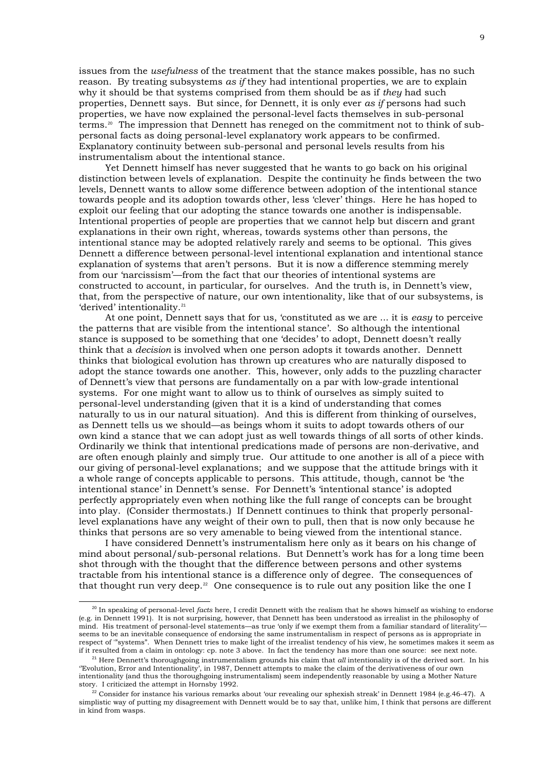issues from the *usefulness* of the treatment that the stance makes possible, has no such reason. By treating subsystems *as if* they had intentional properties, we are to explain why it should be that systems comprised from them should be as if *they* had such properties, Dennett says. But since, for Dennett, it is only ever *as if* persons had such properties, we have now explained the personal-level facts themselves in sub-personal terms.[20](#page-8-0) The impression that Dennett has reneged on the commitment not to think of subpersonal facts as doing personal-level explanatory work appears to be confirmed. Explanatory continuity between sub-personal and personal levels results from his instrumentalism about the intentional stance.

Yet Dennett himself has never suggested that he wants to go back on his original distinction between levels of explanation. Despite the continuity he finds between the two levels, Dennett wants to allow some difference between adoption of the intentional stance towards people and its adoption towards other, less 'clever' things. Here he has hoped to exploit our feeling that our adopting the stance towards one another is indispensable. Intentional properties of people are properties that we cannot help but discern and grant explanations in their own right, whereas, towards systems other than persons, the intentional stance may be adopted relatively rarely and seems to be optional. This gives Dennett a difference between personal-level intentional explanation and intentional stance explanation of systems that aren't persons. But it is now a difference stemming merely from our 'narcissism'—from the fact that our theories of intentional systems are constructed to account, in particular, for ourselves. And the truth is, in Dennett's view, that, from the perspective of nature, our own intentionality, like that of our subsystems, is 'derived' intentionality.<sup>[21](#page-8-1)</sup>

At one point, Dennett says that for us, 'constituted as we are ... it is *easy* to perceive the patterns that are visible from the intentional stance'. So although the intentional stance is supposed to be something that one 'decides' to adopt, Dennett doesn't really think that a *decision* is involved when one person adopts it towards another. Dennett thinks that biological evolution has thrown up creatures who are naturally disposed to adopt the stance towards one another. This, however, only adds to the puzzling character of Dennett's view that persons are fundamentally on a par with low-grade intentional systems. For one might want to allow us to think of ourselves as simply suited to personal-level understanding (given that it is a kind of understanding that comes naturally to us in our natural situation). And this is different from thinking of ourselves, as Dennett tells us we should—as beings whom it suits to adopt towards others of our own kind a stance that we can adopt just as well towards things of all sorts of other kinds. Ordinarily we think that intentional predications made of persons are non-derivative, and are often enough plainly and simply true. Our attitude to one another is all of a piece with our giving of personal-level explanations; and we suppose that the attitude brings with it a whole range of concepts applicable to persons. This attitude, though, cannot be 'the intentional stance' in Dennett's sense. For Dennett's 'intentional stance' is adopted perfectly appropriately even when nothing like the full range of concepts can be brought into play. (Consider thermostats.) If Dennett continues to think that properly personallevel explanations have any weight of their own to pull, then that is now only because he thinks that persons are so very amenable to being viewed from the intentional stance.

I have considered Dennett's instrumentalism here only as it bears on his change of mind about personal/sub-personal relations. But Dennett's work has for a long time been shot through with the thought that the difference between persons and other systems tractable from his intentional stance is a difference only of degree. The consequences of that thought run very deep.<sup>[22](#page-8-2)</sup> One consequence is to rule out any position like the one I

<span id="page-8-0"></span><sup>20</sup> In speaking of personal-level *facts* here, I credit Dennett with the realism that he shows himself as wishing to endorse (e.g. in Dennett 1991). It is not surprising, however, that Dennett has been understood as irrealist in the philosophy of mind. His treatment of personal-level statements—as true 'only if we exempt them from a familiar standard of literality' seems to be an inevitable consequence of endorsing the same instrumentalism in respect of persons as is appropriate in respect of '"systems". When Dennett tries to make light of the irrealist tendency of his view, he sometimes makes it seem as if it resulted from a claim in ontology: cp. note 3 above. In fact the tendency has more than one source: see next note.

<span id="page-8-1"></span><sup>&</sup>lt;sup>21</sup> Here Dennett's thoroughgoing instrumentalism grounds his claim that *all* intentionality is of the derived sort. In his ''Evolution, Error and Intentionality', in 1987, Dennett attempts to make the claim of the derivativeness of our own intentionality (and thus the thoroughgoing instrumentalism) seem independently reasonable by using a Mother Nature story. I criticized the attempt in Hornsby 1992.

<span id="page-8-2"></span> $22$  Consider for instance his various remarks about 'our revealing our sphexish streak' in Dennett 1984 (e.g.46-47). A simplistic way of putting my disagreement with Dennett would be to say that, unlike him, I think that persons are different in kind from wasps.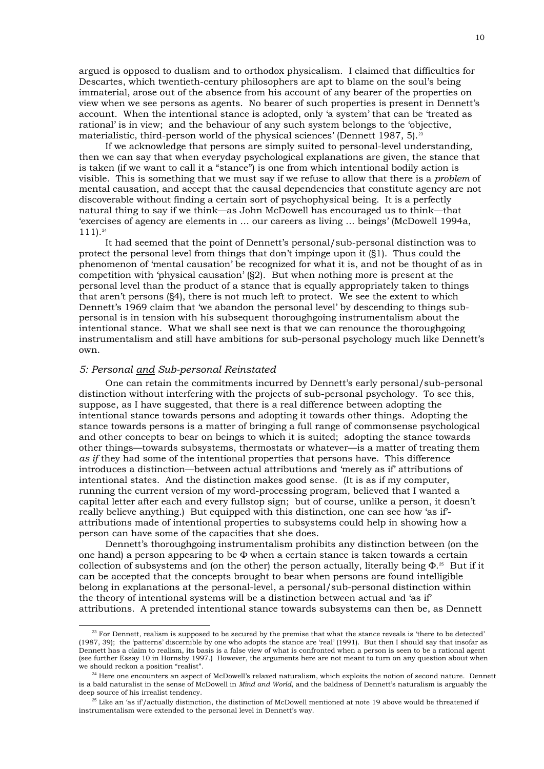argued is opposed to dualism and to orthodox physicalism. I claimed that difficulties for Descartes, which twentieth-century philosophers are apt to blame on the soul's being immaterial, arose out of the absence from his account of any bearer of the properties on view when we see persons as agents. No bearer of such properties is present in Dennett's account. When the intentional stance is adopted, only 'a system' that can be 'treated as rational' is in view; and the behaviour of any such system belongs to the 'objective, materialistic, third-person world of the physical sciences' (Dennett 1987, 5).<sup>[23](#page-9-0)</sup>

If we acknowledge that persons are simply suited to personal-level understanding, then we can say that when everyday psychological explanations are given, the stance that is taken (if we want to call it a "stance") is one from which intentional bodily action is visible. This is something that we must say if we refuse to allow that there is a *problem* of mental causation, and accept that the causal dependencies that constitute agency are not discoverable without finding a certain sort of psychophysical being. It is a perfectly natural thing to say if we think—as John McDowell has encouraged us to think—that 'exercises of agency are elements in … our careers as living … beings' (McDowell 1994a,  $111$ ).<sup>[24](#page-9-1)</sup>

It had seemed that the point of Dennett's personal/sub-personal distinction was to protect the personal level from things that don't impinge upon it (§1). Thus could the phenomenon of 'mental causation' be recognized for what it is, and not be thought of as in competition with 'physical causation' (§2). But when nothing more is present at the personal level than the product of a stance that is equally appropriately taken to things that aren't persons (§4), there is not much left to protect. We see the extent to which Dennett's 1969 claim that 'we abandon the personal level' by descending to things subpersonal is in tension with his subsequent thoroughgoing instrumentalism about the intentional stance. What we shall see next is that we can renounce the thoroughgoing instrumentalism and still have ambitions for sub-personal psychology much like Dennett's own.

## *5: Personal and Sub-personal Reinstated*

l

One can retain the commitments incurred by Dennett's early personal/sub-personal distinction without interfering with the projects of sub-personal psychology. To see this, suppose, as I have suggested, that there is a real difference between adopting the intentional stance towards persons and adopting it towards other things. Adopting the stance towards persons is a matter of bringing a full range of commonsense psychological and other concepts to bear on beings to which it is suited; adopting the stance towards other things—towards subsystems, thermostats or whatever—is a matter of treating them *as if* they had some of the intentional properties that persons have. This difference introduces a distinction—between actual attributions and 'merely as if' attributions of intentional states. And the distinction makes good sense. (It is as if my computer, running the current version of my word-processing program, believed that I wanted a capital letter after each and every fullstop sign; but of course, unlike a person, it doesn't really believe anything.) But equipped with this distinction, one can see how 'as if' attributions made of intentional properties to subsystems could help in showing how a person can have some of the capacities that she does.

Dennett's thoroughgoing instrumentalism prohibits any distinction between (on the one hand) a person appearing to be Ф when a certain stance is taken towards a certain collection of subsystems and (on the other) the person actually, literally being  $\Phi$ .<sup>[25](#page-9-2)</sup> But if it can be accepted that the concepts brought to bear when persons are found intelligible belong in explanations at the personal-level, a personal/sub-personal distinction within the theory of intentional systems will be a distinction between actual and 'as if' attributions. A pretended intentional stance towards subsystems can then be, as Dennett

<span id="page-9-0"></span> $23$  For Dennett, realism is supposed to be secured by the premise that what the stance reveals is 'there to be detected' (1987, 39); the 'patterns' discernible by one who adopts the stance are 'real' (1991). But then I should say that insofar as Dennett has a claim to realism, its basis is a false view of what is confronted when a person is seen to be a rational agent (see further Essay 10 in Hornsby 1997.) However, the arguments here are not meant to turn on any question about when we should reckon a position "realist".

<span id="page-9-1"></span><sup>&</sup>lt;sup>24</sup> Here one encounters an aspect of McDowell's relaxed naturalism, which exploits the notion of second nature. Dennett is a bald naturalist in the sense of McDowell in *Mind and World*, and the baldness of Dennett's naturalism is arguably the deep source of his irrealist tendency.

<span id="page-9-2"></span> $25$  Like an 'as if'/actually distinction, the distinction of McDowell mentioned at note 19 above would be threatened if instrumentalism were extended to the personal level in Dennett's way.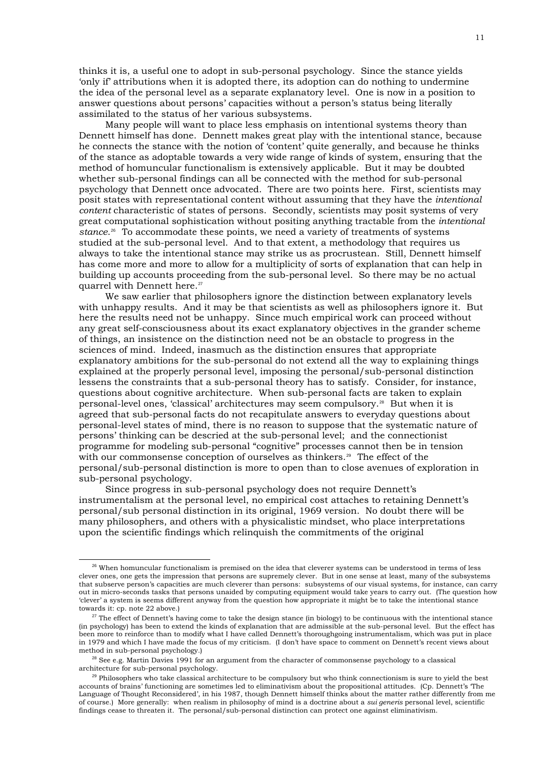thinks it is, a useful one to adopt in sub-personal psychology. Since the stance yields 'only if' attributions when it is adopted there, its adoption can do nothing to undermine the idea of the personal level as a separate explanatory level. One is now in a position to answer questions about persons' capacities without a person's status being literally assimilated to the status of her various subsystems.

Many people will want to place less emphasis on intentional systems theory than Dennett himself has done. Dennett makes great play with the intentional stance, because he connects the stance with the notion of 'content' quite generally, and because he thinks of the stance as adoptable towards a very wide range of kinds of system, ensuring that the method of homuncular functionalism is extensively applicable. But it may be doubted whether sub-personal findings can all be connected with the method for sub-personal psychology that Dennett once advocated. There are two points here. First, scientists may posit states with representational content without assuming that they have the *intentional content* characteristic of states of persons. Secondly, scientists may posit systems of very great computational sophistication without positing anything tractable from the *intentional*  stance.<sup>[26](#page-10-0)</sup> To accommodate these points, we need a variety of treatments of systems studied at the sub-personal level. And to that extent, a methodology that requires us always to take the intentional stance may strike us as procrustean. Still, Dennett himself has come more and more to allow for a multiplicity of sorts of explanation that can help in building up accounts proceeding from the sub-personal level. So there may be no actual quarrel with Dennett here.<sup>[27](#page-10-1)</sup>

We saw earlier that philosophers ignore the distinction between explanatory levels with unhappy results. And it may be that scientists as well as philosophers ignore it. But here the results need not be unhappy. Since much empirical work can proceed without any great self-consciousness about its exact explanatory objectives in the grander scheme of things, an insistence on the distinction need not be an obstacle to progress in the sciences of mind. Indeed, inasmuch as the distinction ensures that appropriate explanatory ambitions for the sub-personal do not extend all the way to explaining things explained at the properly personal level, imposing the personal/sub-personal distinction lessens the constraints that a sub-personal theory has to satisfy. Consider, for instance, questions about cognitive architecture. When sub-personal facts are taken to explain personal-level ones, 'classical' architectures may seem compulsory.[28](#page-10-2) But when it is agreed that sub-personal facts do not recapitulate answers to everyday questions about personal-level states of mind, there is no reason to suppose that the systematic nature of persons' thinking can be descried at the sub-personal level; and the connectionist programme for modeling sub-personal "cognitive" processes cannot then be in tension with our commonsense conception of ourselves as thinkers.<sup>[29](#page-10-3)</sup> The effect of the personal/sub-personal distinction is more to open than to close avenues of exploration in sub-personal psychology.

Since progress in sub-personal psychology does not require Dennett's instrumentalism at the personal level, no empirical cost attaches to retaining Dennett's personal/sub personal distinction in its original, 1969 version. No doubt there will be many philosophers, and others with a physicalistic mindset, who place interpretations upon the scientific findings which relinquish the commitments of the original

<span id="page-10-0"></span><sup>&</sup>lt;sup>26</sup> When homuncular functionalism is premised on the idea that cleverer systems can be understood in terms of less clever ones, one gets the impression that persons are supremely clever. But in one sense at least, many of the subsystems that subserve person's capacities are much cleverer than persons: subsystems of our visual systems, for instance, can carry out in micro-seconds tasks that persons unaided by computing equipment would take years to carry out. (The question how 'clever' a system is seems different anyway from the question how appropriate it might be to take the intentional stance towards it: cp. note 22 above.)

<span id="page-10-1"></span><sup>&</sup>lt;sup>27</sup> The effect of Dennett's having come to take the design stance (in biology) to be continuous with the intentional stance (in psychology) has been to extend the kinds of explanation that are admissible at the sub-personal level. But the effect has been more to reinforce than to modify what I have called Dennett's thoroughgoing instrumentalism, which was put in place in 1979 and which I have made the focus of my criticism. (I don't have space to comment on Dennett's recent views about method in sub-personal psychology.)

<span id="page-10-2"></span><sup>&</sup>lt;sup>28</sup> See e.g. Martin Davies 1991 for an argument from the character of commonsense psychology to a classical architecture for sub-personal psychology.

<span id="page-10-3"></span> $29$  Philosophers who take classical architecture to be compulsory but who think connectionism is sure to yield the best accounts of brains' functioning are sometimes led to eliminativism about the propositional attitudes. (Cp. Dennett's 'The Language of Thought Reconsidered', in his 1987, though Dennett himself thinks about the matter rather differently from me of course.) More generally: when realism in philosophy of mind is a doctrine about a *sui generis* personal level, scientific findings cease to threaten it. The personal/sub-personal distinction can protect one against eliminativism.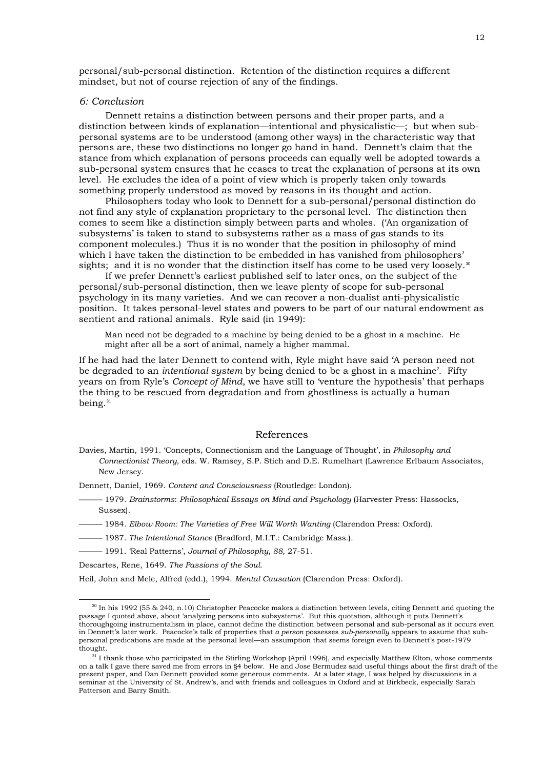personal/sub-personal distinction. Retention of the distinction requires a different mindset, but not of course rejection of any of the findings.

#### *6: Conclusion*

Dennett retains a distinction between persons and their proper parts, and a distinction between kinds of explanation—intentional and physicalistic—; but when subpersonal systems are to be understood (among other ways) in the characteristic way that persons are, these two distinctions no longer go hand in hand. Dennett's claim that the stance from which explanation of persons proceeds can equally well be adopted towards a sub-personal system ensures that he ceases to treat the explanation of persons at its own level. He excludes the idea of a point of view which is properly taken only towards something properly understood as moved by reasons in its thought and action.

Philosophers today who look to Dennett for a sub-personal/personal distinction do not find any style of explanation proprietary to the personal level. The distinction then comes to seem like a distinction simply between parts and wholes. ('An organization of subsystems' is taken to stand to subsystems rather as a mass of gas stands to its component molecules.) Thus it is no wonder that the position in philosophy of mind which I have taken the distinction to be embedded in has vanished from philosophers' sights; and it is no wonder that the distinction itself has come to be used very loosely.<sup>[30](#page-11-0)</sup>

If we prefer Dennett's earliest published self to later ones, on the subject of the personal/sub-personal distinction, then we leave plenty of scope for sub-personal psychology in its many varieties. And we can recover a non-dualist anti-physicalistic position. It takes personal-level states and powers to be part of our natural endowment as sentient and rational animals. Ryle said (in 1949):

Man need not be degraded to a machine by being denied to be a ghost in a machine. He might after all be a sort of animal, namely a higher mammal.

If he had had the later Dennett to contend with, Ryle might have said 'A person need not be degraded to an *intentional system* by being denied to be a ghost in a machine'. Fifty years on from Ryle's *Concept of Mind*, we have still to 'venture the hypothesis' that perhaps the thing to be rescued from degradation and from ghostliness is actually a human being.<sup>[31](#page-11-1)</sup>

# References

Davies, Martin, 1991. 'Concepts, Connectionism and the Language of Thought', in *Philosophy and Connectionist Theory*, eds. W. Ramsey, S.P. Stich and D.E. Rumelhart (Lawrence Erlbaum Associates, New Jersey.

Dennett, Daniel, 1969. *Content and Consciousness* (Routledge: London).

- ——— 1979. *Brainstorms*: *Philosophical Essays on Mind and Psychology* (Harvester Press: Hassocks, Sussex).
- ——— 1984. *Elbow Room: The Varieties of Free Will Worth Wanting* (Clarendon Press: Oxford).
- ——— 1987. *The Intentional Stance* (Bradford, M.I.T.: Cambridge Mass.).
- ——— 1991. 'Real Patterns', *Journal of Philosophy, 88*, 27-51.

Descartes, Rene, 1649. *The Passions of the Soul*.

l

Heil, John and Mele, Alfred (edd.), 1994. *Mental Causation* (Clarendon Press: Oxford).

<span id="page-11-0"></span> $30$  In his 1992 (55 & 240, n.10) Christopher Peacocke makes a distinction between levels, citing Dennett and quoting the passage I quoted above, about 'analyzing persons into subsystems'. But this quotation, although it puts Dennett's thoroughgoing instrumentalism in place, cannot define the distinction between personal and sub-personal as it occurs even in Dennett's later work. Peacocke's talk of properties that *a person* possesses *sub-personally* appears to assume that subpersonal predications are made at the personal level—an assumption that seems foreign even to Dennett's post-1979 thought.

<span id="page-11-1"></span><sup>&</sup>lt;sup>31</sup> I thank those who participated in the Stirling Workshop (April 1996), and especially Matthew Elton, whose comments on a talk I gave there saved me from errors in §4 below. He and Jose Bermudez said useful things about the first draft of the present paper, and Dan Dennett provided some generous comments. At a later stage, I was helped by discussions in a seminar at the University of St. Andrew's, and with friends and colleagues in Oxford and at Birkbeck, especially Sarah Patterson and Barry Smith.